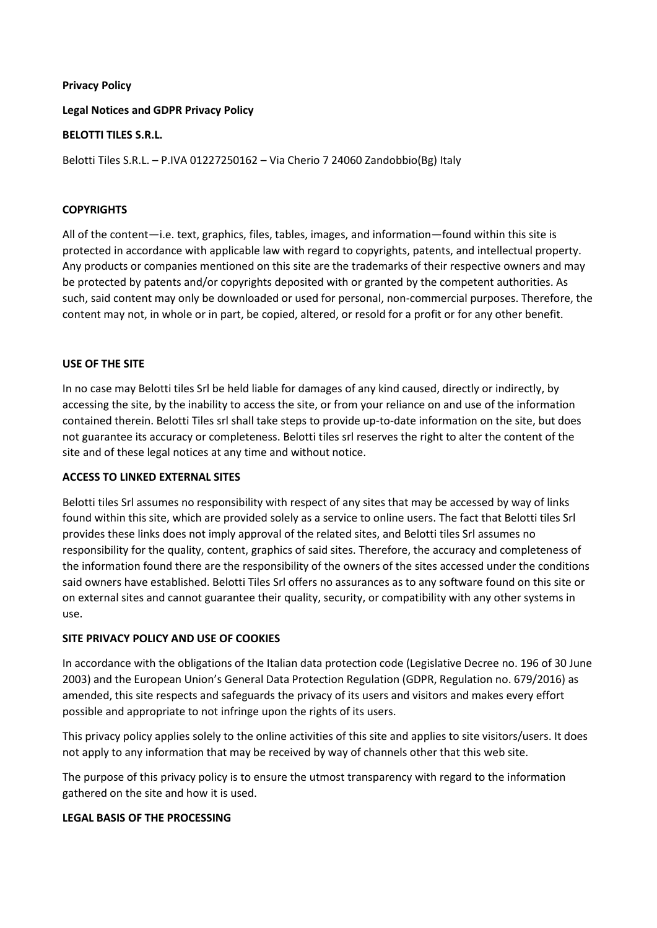## **Privacy Policy**

**Legal Notices and GDPR Privacy Policy**

# **BELOTTI TILES S.R.L.**

Belotti Tiles S.R.L. – P.IVA 01227250162 – Via Cherio 7 24060 Zandobbio(Bg) Italy

## **COPYRIGHTS**

All of the content—i.e. text, graphics, files, tables, images, and information—found within this site is protected in accordance with applicable law with regard to copyrights, patents, and intellectual property. Any products or companies mentioned on this site are the trademarks of their respective owners and may be protected by patents and/or copyrights deposited with or granted by the competent authorities. As such, said content may only be downloaded or used for personal, non-commercial purposes. Therefore, the content may not, in whole or in part, be copied, altered, or resold for a profit or for any other benefit.

### **USE OF THE SITE**

In no case may Belotti tiles Srl be held liable for damages of any kind caused, directly or indirectly, by accessing the site, by the inability to access the site, or from your reliance on and use of the information contained therein. Belotti Tiles srl shall take steps to provide up-to-date information on the site, but does not guarantee its accuracy or completeness. Belotti tiles srl reserves the right to alter the content of the site and of these legal notices at any time and without notice.

## **ACCESS TO LINKED EXTERNAL SITES**

Belotti tiles Srl assumes no responsibility with respect of any sites that may be accessed by way of links found within this site, which are provided solely as a service to online users. The fact that Belotti tiles Srl provides these links does not imply approval of the related sites, and Belotti tiles Srl assumes no responsibility for the quality, content, graphics of said sites. Therefore, the accuracy and completeness of the information found there are the responsibility of the owners of the sites accessed under the conditions said owners have established. Belotti Tiles Srl offers no assurances as to any software found on this site or on external sites and cannot guarantee their quality, security, or compatibility with any other systems in use.

# **SITE PRIVACY POLICY AND USE OF COOKIES**

In accordance with the obligations of the Italian data protection code (Legislative Decree no. 196 of 30 June 2003) and the European Union's General Data Protection Regulation (GDPR, Regulation no. 679/2016) as amended, this site respects and safeguards the privacy of its users and visitors and makes every effort possible and appropriate to not infringe upon the rights of its users.

This privacy policy applies solely to the online activities of this site and applies to site visitors/users. It does not apply to any information that may be received by way of channels other that this web site.

The purpose of this privacy policy is to ensure the utmost transparency with regard to the information gathered on the site and how it is used.

# **LEGAL BASIS OF THE PROCESSING**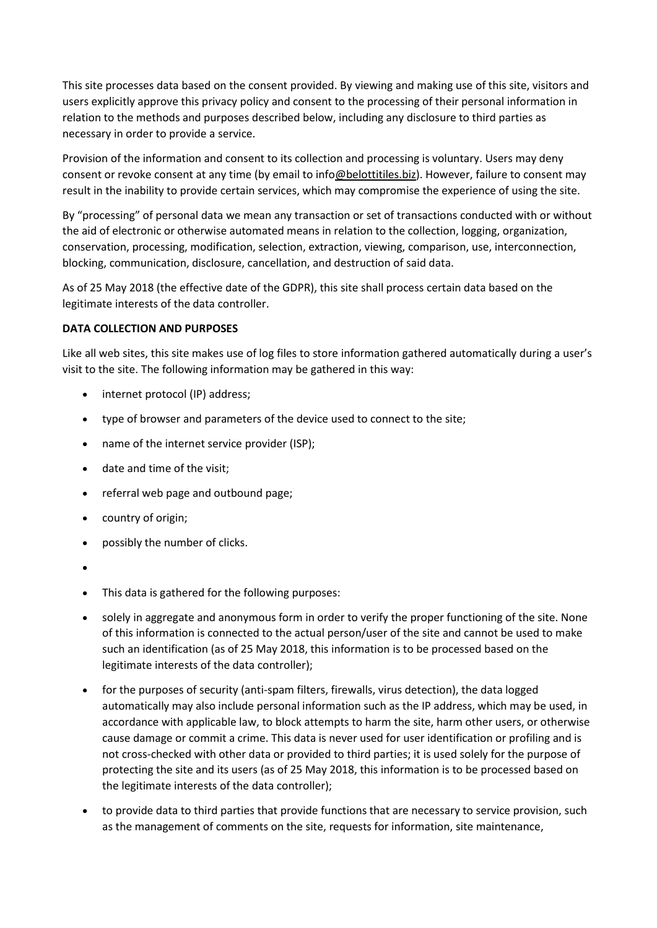This site processes data based on the consent provided. By viewing and making use of this site, visitors and users explicitly approve this privacy policy and consent to the processing of their personal information in relation to the methods and purposes described below, including any disclosure to third parties as necessary in order to provide a service.

Provision of the information and consent to its collection and processing is voluntary. Users may deny consent or revoke consent at any time (by email to info@belottitiles.biz). However, failure to consent may result in the inability to provide certain services, which may compromise the experience of using the site.

By "processing" of personal data we mean any transaction or set of transactions conducted with or without the aid of electronic or otherwise automated means in relation to the collection, logging, organization, conservation, processing, modification, selection, extraction, viewing, comparison, use, interconnection, blocking, communication, disclosure, cancellation, and destruction of said data.

As of 25 May 2018 (the effective date of the GDPR), this site shall process certain data based on the legitimate interests of the data controller.

# **DATA COLLECTION AND PURPOSES**

Like all web sites, this site makes use of log files to store information gathered automatically during a user's visit to the site. The following information may be gathered in this way:

- internet protocol (IP) address;
- type of browser and parameters of the device used to connect to the site;
- name of the internet service provider (ISP);
- date and time of the visit;
- referral web page and outbound page;
- country of origin;
- possibly the number of clicks.
- •
- This data is gathered for the following purposes:
- solely in aggregate and anonymous form in order to verify the proper functioning of the site. None of this information is connected to the actual person/user of the site and cannot be used to make such an identification (as of 25 May 2018, this information is to be processed based on the legitimate interests of the data controller);
- for the purposes of security (anti-spam filters, firewalls, virus detection), the data logged automatically may also include personal information such as the IP address, which may be used, in accordance with applicable law, to block attempts to harm the site, harm other users, or otherwise cause damage or commit a crime. This data is never used for user identification or profiling and is not cross-checked with other data or provided to third parties; it is used solely for the purpose of protecting the site and its users (as of 25 May 2018, this information is to be processed based on the legitimate interests of the data controller);
- to provide data to third parties that provide functions that are necessary to service provision, such as the management of comments on the site, requests for information, site maintenance,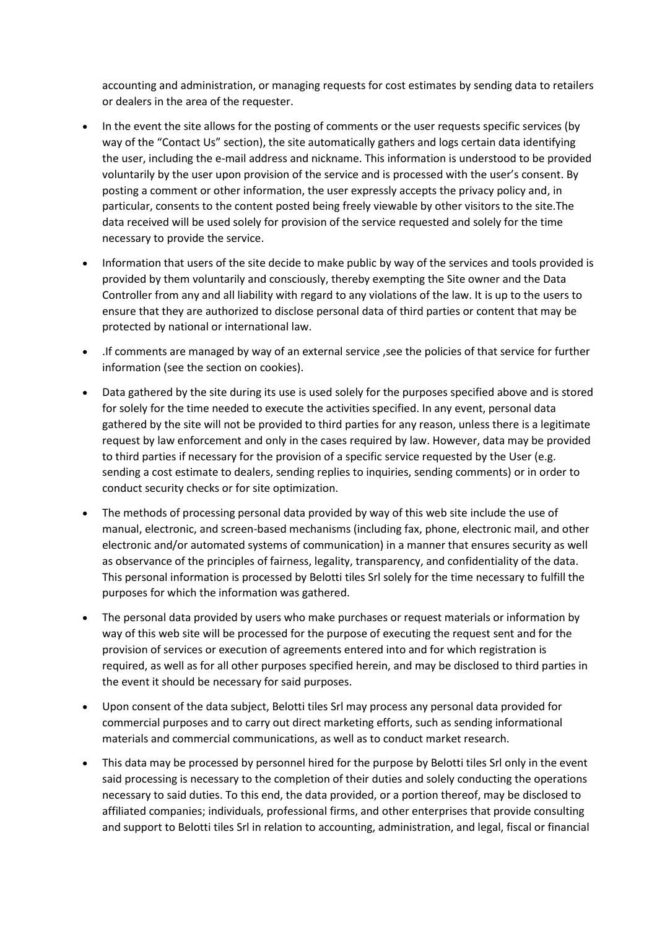accounting and administration, or managing requests for cost estimates by sending data to retailers or dealers in the area of the requester.

- In the event the site allows for the posting of comments or the user requests specific services (by way of the "Contact Us" section), the site automatically gathers and logs certain data identifying the user, including the e-mail address and nickname. This information is understood to be provided voluntarily by the user upon provision of the service and is processed with the user's consent. By posting a comment or other information, the user expressly accepts the privacy policy and, in particular, consents to the content posted being freely viewable by other visitors to the site.The data received will be used solely for provision of the service requested and solely for the time necessary to provide the service.
- Information that users of the site decide to make public by way of the services and tools provided is provided by them voluntarily and consciously, thereby exempting the Site owner and the Data Controller from any and all liability with regard to any violations of the law. It is up to the users to ensure that they are authorized to disclose personal data of third parties or content that may be protected by national or international law.
- .If comments are managed by way of an external service ,see the policies of that service for further information (see the section on cookies).
- Data gathered by the site during its use is used solely for the purposes specified above and is stored for solely for the time needed to execute the activities specified. In any event, personal data gathered by the site will not be provided to third parties for any reason, unless there is a legitimate request by law enforcement and only in the cases required by law. However, data may be provided to third parties if necessary for the provision of a specific service requested by the User (e.g. sending a cost estimate to dealers, sending replies to inquiries, sending comments) or in order to conduct security checks or for site optimization.
- The methods of processing personal data provided by way of this web site include the use of manual, electronic, and screen-based mechanisms (including fax, phone, electronic mail, and other electronic and/or automated systems of communication) in a manner that ensures security as well as observance of the principles of fairness, legality, transparency, and confidentiality of the data. This personal information is processed by Belotti tiles Srl solely for the time necessary to fulfill the purposes for which the information was gathered.
- The personal data provided by users who make purchases or request materials or information by way of this web site will be processed for the purpose of executing the request sent and for the provision of services or execution of agreements entered into and for which registration is required, as well as for all other purposes specified herein, and may be disclosed to third parties in the event it should be necessary for said purposes.
- Upon consent of the data subject, Belotti tiles Srl may process any personal data provided for commercial purposes and to carry out direct marketing efforts, such as sending informational materials and commercial communications, as well as to conduct market research.
- This data may be processed by personnel hired for the purpose by Belotti tiles Srl only in the event said processing is necessary to the completion of their duties and solely conducting the operations necessary to said duties. To this end, the data provided, or a portion thereof, may be disclosed to affiliated companies; individuals, professional firms, and other enterprises that provide consulting and support to Belotti tiles Srl in relation to accounting, administration, and legal, fiscal or financial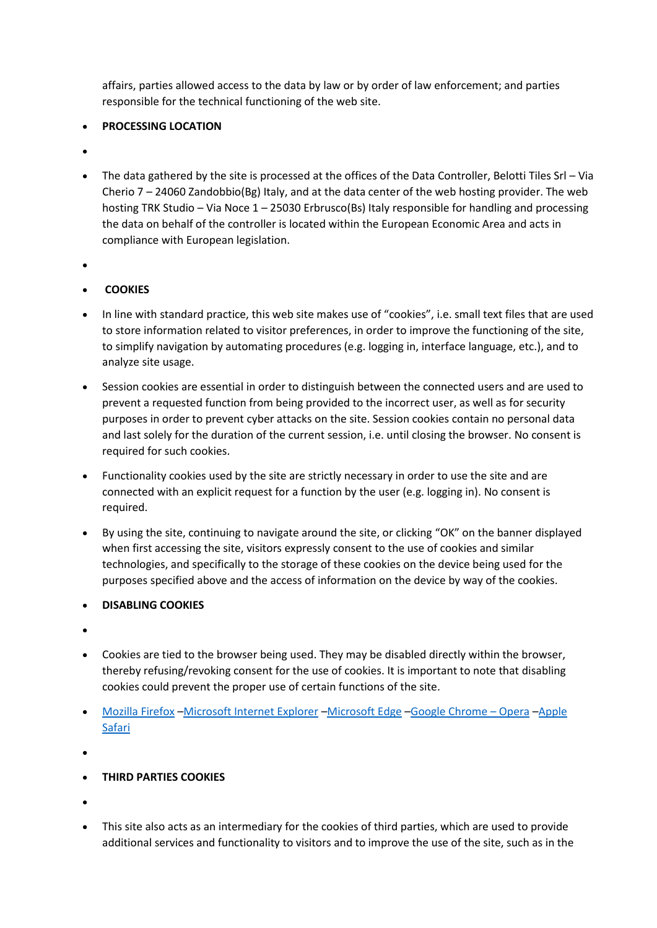affairs, parties allowed access to the data by law or by order of law enforcement; and parties responsible for the technical functioning of the web site.

# • **PROCESSING LOCATION**

- •
- The data gathered by the site is processed at the offices of the Data Controller, Belotti Tiles Srl Via Cherio 7 – 24060 Zandobbio(Bg) Italy, and at the data center of the web hosting provider. The web hosting TRK Studio – Via Noce 1 – 25030 Erbrusco(Bs) Italy responsible for handling and processing the data on behalf of the controller is located within the European Economic Area and acts in compliance with European legislation.
- •

# • **COOKIES**

- In line with standard practice, this web site makes use of "cookies", i.e. small text files that are used to store information related to visitor preferences, in order to improve the functioning of the site, to simplify navigation by automating procedures (e.g. logging in, interface language, etc.), and to analyze site usage.
- Session cookies are essential in order to distinguish between the connected users and are used to prevent a requested function from being provided to the incorrect user, as well as for security purposes in order to prevent cyber attacks on the site. Session cookies contain no personal data and last solely for the duration of the current session, i.e. until closing the browser. No consent is required for such cookies.
- Functionality cookies used by the site are strictly necessary in order to use the site and are connected with an explicit request for a function by the user (e.g. logging in). No consent is required.
- By using the site, continuing to navigate around the site, or clicking "OK" on the banner displayed when first accessing the site, visitors expressly consent to the use of cookies and similar technologies, and specifically to the storage of these cookies on the device being used for the purposes specified above and the access of information on the device by way of the cookies.
- **DISABLING COOKIES**
- •
- Cookies are tied to the browser being used. They may be disabled directly within the browser, thereby refusing/revoking consent for the use of cookies. It is important to note that disabling cookies could prevent the proper use of certain functions of the site.
- [Mozilla Firefox](https://support.mozilla.org/it/kb/Attivare%20e%20disattivare%20i%20cookie) –[Microsoft Internet Explorer](https://support.microsoft.com/it-it/help/17442/windows-internet-explorer-delete-manage-cookies) –[Microsoft Edge](https://support.microsoft.com/it-it/help/4027947/windows-delete-cookies) –[Google Chrome](https://support.google.com/chrome/answer/95647?hl=it) [–](http://support.google.com/chrome/bin/answer.py?hl=it&answer=95647) [Opera](http://help.opera.com/Windows/10.00/it/cookies.html) –[Apple](https://support.apple.com/it-it/HT201265)  [Safari](https://support.apple.com/it-it/HT201265)
- •
- **THIRD PARTIES COOKIES**
- •
- This site also acts as an intermediary for the cookies of third parties, which are used to provide additional services and functionality to visitors and to improve the use of the site, such as in the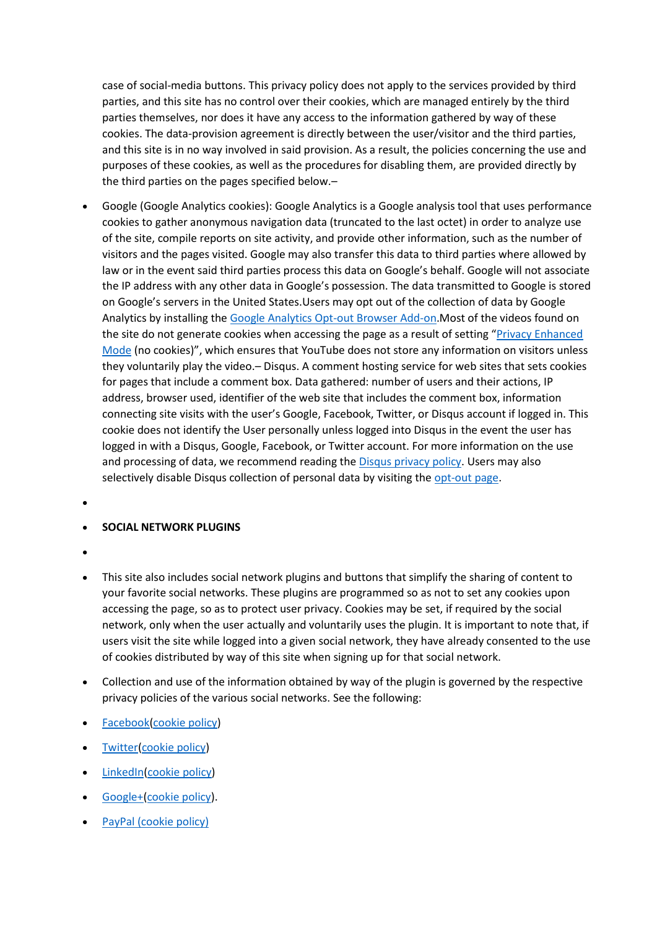case of social-media buttons. This privacy policy does not apply to the services provided by third parties, and this site has no control over their cookies, which are managed entirely by the third parties themselves, nor does it have any access to the information gathered by way of these cookies. The data-provision agreement is directly between the user/visitor and the third parties, and this site is in no way involved in said provision. As a result, the policies concerning the use and purposes of these cookies, as well as the procedures for disabling them, are provided directly by the third parties on the pages specified below.–

- Google (Google Analytics cookies): Google Analytics is a Google analysis tool that uses performance cookies to gather anonymous navigation data (truncated to the last octet) in order to analyze use of the site, compile reports on site activity, and provide other information, such as the number of visitors and the pages visited. Google may also transfer this data to third parties where allowed by law or in the event said third parties process this data on Google's behalf. Google will not associate the IP address with any other data in Google's possession. The data transmitted to Google is stored on Google's servers in the United States.Users may opt out of the collection of data by Google Analytics by installing th[e Google Analytics Opt-out Browser Add-on.](https://tools.google.com/dlpage/gaoptout)Most of the videos found on the site do not generate cookies when accessing the page as a result of setting "Privacy Enhanced [Mode](https://support.google.com/youtube/answer/171780?expand=PrivacyEnhancedMode#privacy) (no cookies)", which ensures that YouTube does not store any information on visitors unless they voluntarily play the video.– Disqus. A comment hosting service for web sites that sets cookies for pages that include a comment box. Data gathered: number of users and their actions, IP address, browser used, identifier of the web site that includes the comment box, information connecting site visits with the user's Google, Facebook, Twitter, or Disqus account if logged in. This cookie does not identify the User personally unless logged into Disqus in the event the user has logged in with a Disqus, Google, Facebook, or Twitter account. For more information on the use and processing of data, we recommend reading the [Disqus privacy policy.](https://help.disqus.com/customer/portal/articles/466259-privacy-policy) Users may also selectively disable Disqus collection of personal data by visiting the [opt-out page.](https://help.disqus.com/customer/portal/articles/1657951)
- •

### • **SOCIAL NETWORK PLUGINS**

- •
- This site also includes social network plugins and buttons that simplify the sharing of content to your favorite social networks. These plugins are programmed so as not to set any cookies upon accessing the page, so as to protect user privacy. Cookies may be set, if required by the social network, only when the user actually and voluntarily uses the plugin. It is important to note that, if users visit the site while logged into a given social network, they have already consented to the use of cookies distributed by way of this site when signing up for that social network.
- Collection and use of the information obtained by way of the plugin is governed by the respective privacy policies of the various social networks. See the following:
- [Facebook\(](https://www.facebook.com/about/privacy/)[cookie policy\)](https://www.facebook.com/help/cookies/)
- [Twitter](https://twitter.com/privacy?lang=it)[\(cookie policy\)](https://help.twitter.com/en/rules-and-policies/twitter-cookies)
- [LinkedIn\(](https://www.linkedin.com/legal/privacy-policy)[cookie policy\)](https://www.linkedin.com/legal/cookie-policy)
- [Google+](http://www.google.com/intl/it/policies/privacy/)[\(cookie policy\)](https://policies.google.com/technologies/cookies?hl=en).
- [PayPal \(cookie policy\)](https://www.paypal.com/us/webapps/mpp/ua/cookie-full)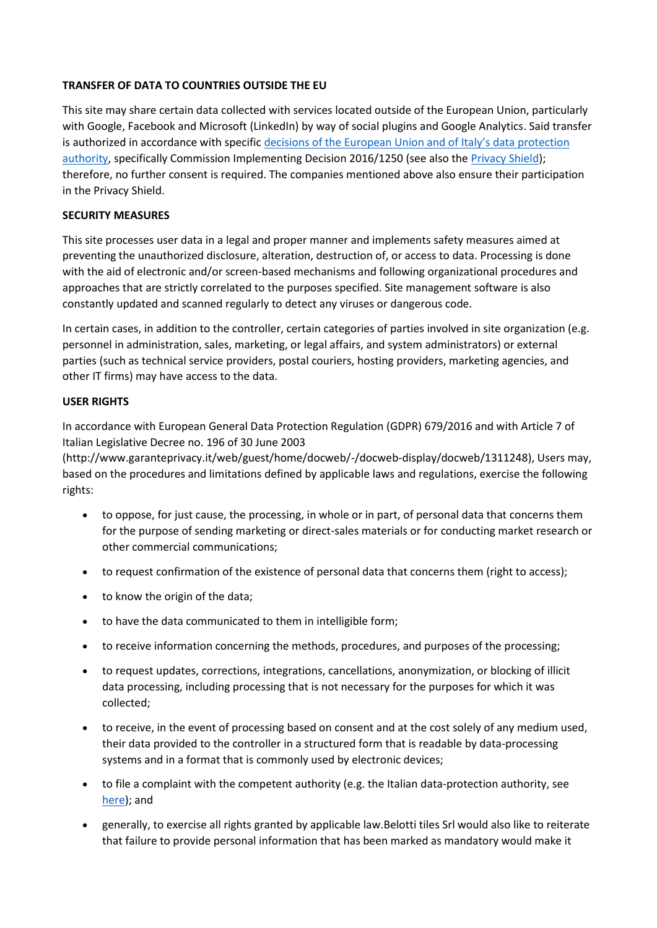# **TRANSFER OF DATA TO COUNTRIES OUTSIDE THE EU**

This site may share certain data collected with services located outside of the European Union, particularly with Google, Facebook and Microsoft (LinkedIn) by way of social plugins and Google Analytics. Said transfer is authorized in accordance with specific [decisions of the European Union and of Italy's data protection](http://eur-lex.europa.eu/legal-content/EN/TXT/?uri=CELEX:32016D1250)  [authority,](http://eur-lex.europa.eu/legal-content/EN/TXT/?uri=CELEX:32016D1250) specifically Commission Implementing Decision 2016/1250 (see also the [Privacy Shield\)](http://eur-lex.europa.eu/legal-content/EN/TXT/?uri=CELEX:32016D1250); therefore, no further consent is required. The companies mentioned above also ensure their participation in the Privacy Shield.

### **SECURITY MEASURES**

This site processes user data in a legal and proper manner and implements safety measures aimed at preventing the unauthorized disclosure, alteration, destruction of, or access to data. Processing is done with the aid of electronic and/or screen-based mechanisms and following organizational procedures and approaches that are strictly correlated to the purposes specified. Site management software is also constantly updated and scanned regularly to detect any viruses or dangerous code.

In certain cases, in addition to the controller, certain categories of parties involved in site organization (e.g. personnel in administration, sales, marketing, or legal affairs, and system administrators) or external parties (such as technical service providers, postal couriers, hosting providers, marketing agencies, and other IT firms) may have access to the data.

# **USER RIGHTS**

In accordance with European General Data Protection Regulation (GDPR) 679/2016 and with Article 7 of Italian Legislative Decree no. 196 of 30 June 2003

(http://www.garanteprivacy.it/web/guest/home/docweb/-/docweb-display/docweb/1311248), Users may, based on the procedures and limitations defined by applicable laws and regulations, exercise the following rights:

- to oppose, for just cause, the processing, in whole or in part, of personal data that concerns them for the purpose of sending marketing or direct-sales materials or for conducting market research or other commercial communications;
- to request confirmation of the existence of personal data that concerns them (right to access);
- to know the origin of the data;
- to have the data communicated to them in intelligible form;
- to receive information concerning the methods, procedures, and purposes of the processing;
- to request updates, corrections, integrations, cancellations, anonymization, or blocking of illicit data processing, including processing that is not necessary for the purposes for which it was collected;
- to receive, in the event of processing based on consent and at the cost solely of any medium used, their data provided to the controller in a structured form that is readable by data-processing systems and in a format that is commonly used by electronic devices;
- to file a complaint with the competent authority (e.g. the Italian data-protection authority, see [here\)](http://www.garanteprivacy.it/web/guest/home/docweb/-/docweb-display/docweb/4535524); and
- generally, to exercise all rights granted by applicable law.Belotti tiles Srl would also like to reiterate that failure to provide personal information that has been marked as mandatory would make it